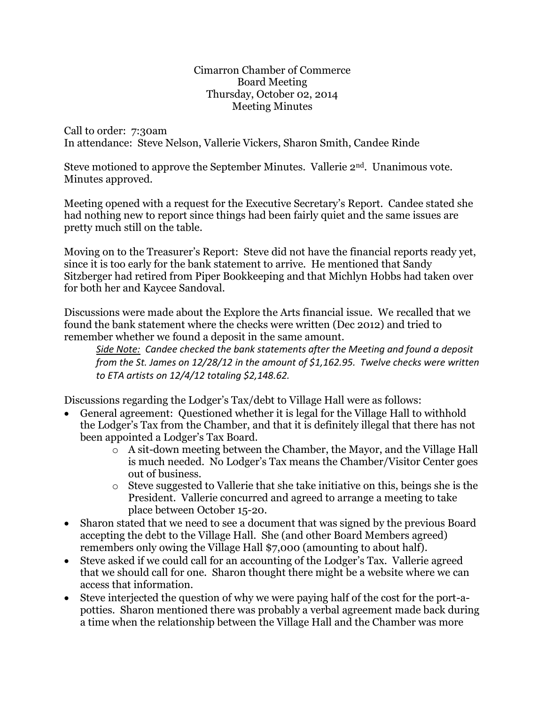Cimarron Chamber of Commerce Board Meeting Thursday, October 02, 2014 Meeting Minutes

Call to order: 7:30am In attendance: Steve Nelson, Vallerie Vickers, Sharon Smith, Candee Rinde

Steve motioned to approve the September Minutes. Vallerie 2nd. Unanimous vote. Minutes approved.

Meeting opened with a request for the Executive Secretary's Report. Candee stated she had nothing new to report since things had been fairly quiet and the same issues are pretty much still on the table.

Moving on to the Treasurer's Report: Steve did not have the financial reports ready yet, since it is too early for the bank statement to arrive. He mentioned that Sandy Sitzberger had retired from Piper Bookkeeping and that Michlyn Hobbs had taken over for both her and Kaycee Sandoval.

Discussions were made about the Explore the Arts financial issue. We recalled that we found the bank statement where the checks were written (Dec 2012) and tried to remember whether we found a deposit in the same amount.

*Side Note: Candee checked the bank statements after the Meeting and found a deposit from the St. James on 12/28/12 in the amount of \$1,162.95. Twelve checks were written to ETA artists on 12/4/12 totaling \$2,148.62.*

Discussions regarding the Lodger's Tax/debt to Village Hall were as follows:

- General agreement: Questioned whether it is legal for the Village Hall to withhold the Lodger's Tax from the Chamber, and that it is definitely illegal that there has not been appointed a Lodger's Tax Board.
	- o A sit-down meeting between the Chamber, the Mayor, and the Village Hall is much needed. No Lodger's Tax means the Chamber/Visitor Center goes out of business.
	- o Steve suggested to Vallerie that she take initiative on this, beings she is the President. Vallerie concurred and agreed to arrange a meeting to take place between October 15-20.
- Sharon stated that we need to see a document that was signed by the previous Board accepting the debt to the Village Hall. She (and other Board Members agreed) remembers only owing the Village Hall \$7,000 (amounting to about half).
- Steve asked if we could call for an accounting of the Lodger's Tax. Vallerie agreed that we should call for one. Sharon thought there might be a website where we can access that information.
- Steve interjected the question of why we were paying half of the cost for the port-apotties. Sharon mentioned there was probably a verbal agreement made back during a time when the relationship between the Village Hall and the Chamber was more